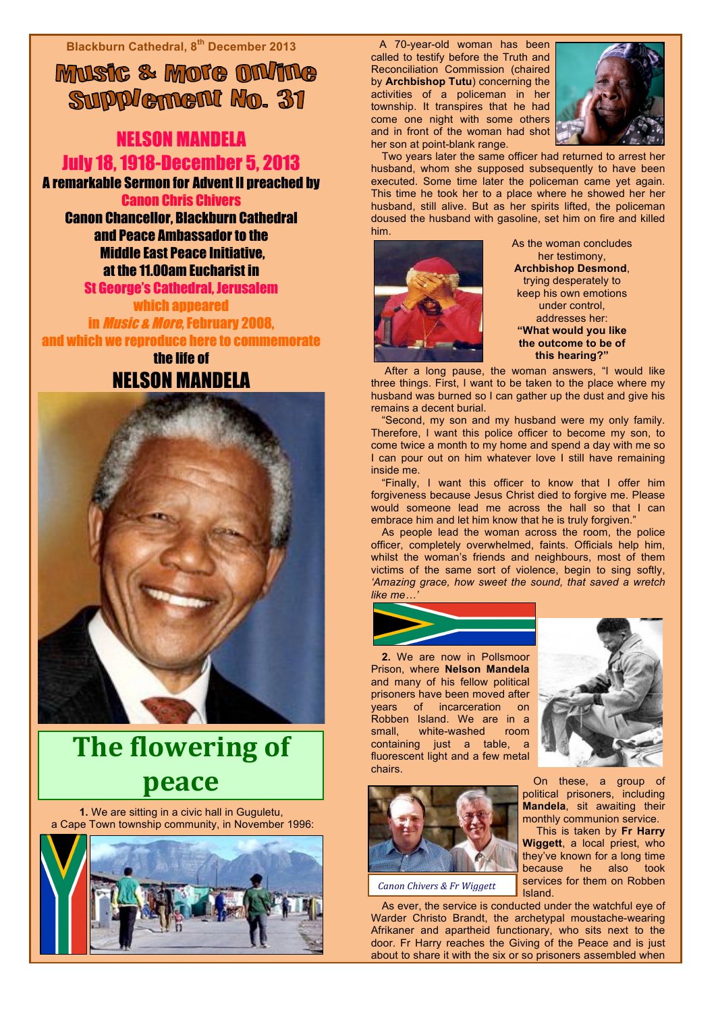**Blackburn Cathedral, 8th December 2013**

MUSIC & MOTO ON/ING Supplement No. 31

## NELSON MANDELA July 18, 1918-December 5, 2013

A remarkable Sermon for Advent II preached by Canon Chris Chivers

Canon Chancellor, Blackburn Cathedral and Peace Ambassador to the Middle East Peace Initiative, at the 11.00am Eucharist in

St George's Cathedral, Jerusalem which appeared in Music & More, February 2008,

and which we reproduce here to commemorate the life of

NELSON MANDELA



## **The flowering of peace**

**1.** We are sitting in a civic hall in Guguletu, a Cape Town township community, in November 1996:



A 70-year-old woman has been called to testify before the Truth and Reconciliation Commission (chaired by **Archbishop Tutu**) concerning the activities of a policeman in her township. It transpires that he had come one night with some others and in front of the woman had shot her son at point-blank range.



Two years later the same officer had returned to arrest her husband, whom she supposed subsequently to have been executed. Some time later the policeman came yet again. This time he took her to a place where he showed her her husband, still alive. But as her spirits lifted, the policeman doused the husband with gasoline, set him on fire and killed him.



As the woman concludes her testimony, **Archbishop Desmond**, trying desperately to keep his own emotions under control, addresses her: **"What would you like the outcome to be of this hearing?"**

 After a long pause, the woman answers, "I would like three things. First, I want to be taken to the place where my husband was burned so I can gather up the dust and give his remains a decent burial.

"Second, my son and my husband were my only family. Therefore, I want this police officer to become my son, to come twice a month to my home and spend a day with me so I can pour out on him whatever love I still have remaining inside me.

"Finally, I want this officer to know that I offer him forgiveness because Jesus Christ died to forgive me. Please would someone lead me across the hall so that I can embrace him and let him know that he is truly forgiven.'

As people lead the woman across the room, the police officer, completely overwhelmed, faints. Officials help him, whilst the woman's friends and neighbours, most of them victims of the same sort of violence, begin to sing softly, *'Amazing grace, how sweet the sound, that saved a wretch like me…'*



**2.** We are now in Pollsmoor Prison, where **Nelson Mandela** and many of his fellow political prisoners have been moved after years of incarceration on Robben Island. We are in a small, white-washed room containing just a table, a fluorescent light and a few metal chairs.



**Canon Chivers & Fr Wiggett** 

As ever, the service is conducted under the watchful eye of Warder Christo Brandt, the archetypal moustache-wearing Afrikaner and apartheid functionary, who sits next to the door. Fr Harry reaches the Giving of the Peace and is just about to share it with the six or so prisoners assembled when



On these, a group of political prisoners, including **Mandela**, sit awaiting their monthly communion service.

 This is taken by **Fr Harry Wiggett**, a local priest, who they've known for a long time because he also took services for them on Robben Island.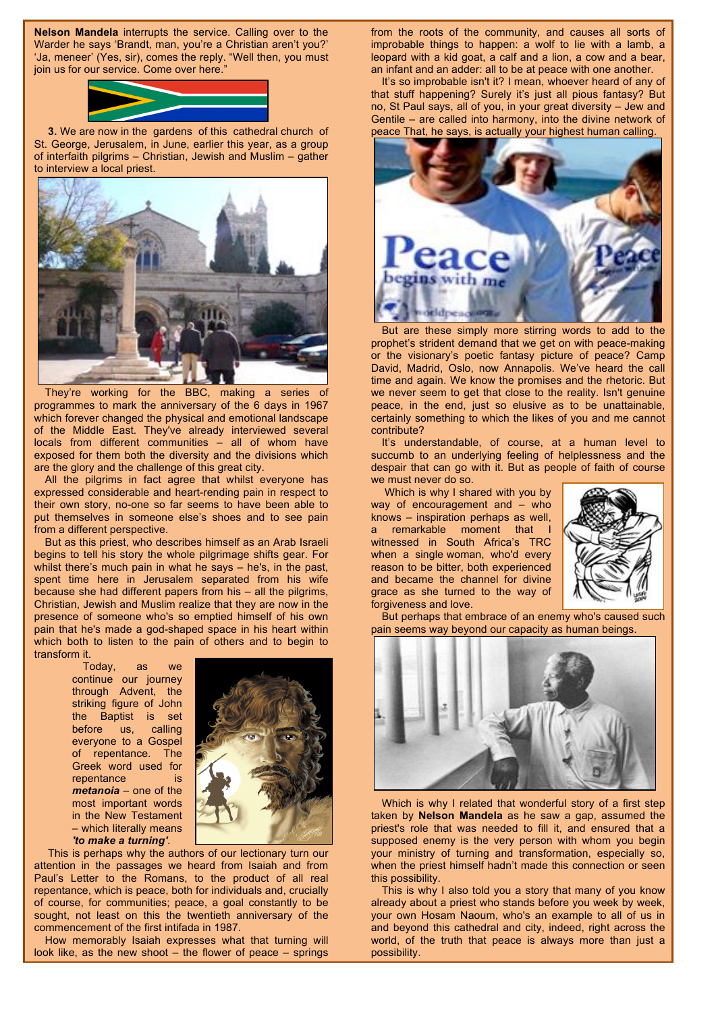**Nelson Mandela** interrupts the service. Calling over to the Warder he says 'Brandt, man, you're a Christian aren't you?' 'Ja, meneer' (Yes, sir), comes the reply. "Well then, you must join us for our service. Come over here."



**3.** We are now in the gardens of this cathedral church of St. George, Jerusalem, in June, earlier this year, as a group of interfaith pilgrims – Christian, Jewish and Muslim – gather to interview a local priest.



They're working for the BBC, making a series of programmes to mark the anniversary of the 6 days in 1967 which forever changed the physical and emotional landscape of the Middle East. They've already interviewed several locals from different communities – all of whom have exposed for them both the diversity and the divisions which are the glory and the challenge of this great city.

All the pilgrims in fact agree that whilst everyone has expressed considerable and heart-rending pain in respect to their own story, no-one so far seems to have been able to put themselves in someone else's shoes and to see pain from a different perspective.

But as this priest, who describes himself as an Arab Israeli begins to tell his story the whole pilgrimage shifts gear. For whilst there's much pain in what he says – he's, in the past, spent time here in Jerusalem separated from his wife because she had different papers from his – all the pilgrims, Christian, Jewish and Muslim realize that they are now in the presence of someone who's so emptied himself of his own pain that he's made a god-shaped space in his heart within which both to listen to the pain of others and to begin to transform it.

> Today, as we continue our journey through Advent, the striking figure of John the Baptist is set before us, calling everyone to a Gospel of repentance. The Greek word used for repentance is *metanoia* – one of the most important words in the New Testament – which literally means *'to make a turning'*.



 This is perhaps why the authors of our lectionary turn our attention in the passages we heard from Isaiah and from Paul's Letter to the Romans, to the product of all real repentance, which is peace, both for individuals and, crucially of course, for communities; peace, a goal constantly to be sought, not least on this the twentieth anniversary of the commencement of the first intifada in 1987.

How memorably Isaiah expresses what that turning will look like, as the new shoot – the flower of peace – springs

from the roots of the community, and causes all sorts of improbable things to happen: a wolf to lie with a lamb, a leopard with a kid goat, a calf and a lion, a cow and a bear, an infant and an adder: all to be at peace with one another.

It's so improbable isn't it? I mean, whoever heard of any of that stuff happening? Surely it's just all pious fantasy? But no, St Paul says, all of you, in your great diversity – Jew and Gentile – are called into harmony, into the divine network of peace That, he says, is actually your highest human calling.



But are these simply more stirring words to add to the prophet's strident demand that we get on with peace-making or the visionary's poetic fantasy picture of peace? Camp David, Madrid, Oslo, now Annapolis. We've heard the call time and again. We know the promises and the rhetoric. But we never seem to get that close to the reality. Isn't genuine peace, in the end, just so elusive as to be unattainable, certainly something to which the likes of you and me cannot contribute?

It's understandable, of course, at a human level to succumb to an underlying feeling of helplessness and the despair that can go with it. But as people of faith of course we must never do so.

 Which is why I shared with you by way of encouragement and – who knows – inspiration perhaps as well, a remarkable moment that witnessed in South Africa's TRC when a single woman, who'd every reason to be bitter, both experienced and became the channel for divine grace as she turned to the way of forgiveness and love.



But perhaps that embrace of an enemy who's caused such pain seems way beyond our capacity as human beings.



Which is why I related that wonderful story of a first step taken by **Nelson Mandela** as he saw a gap, assumed the priest's role that was needed to fill it, and ensured that a supposed enemy is the very person with whom you begin your ministry of turning and transformation, especially so, when the priest himself hadn't made this connection or seen this possibility.

This is why I also told you a story that many of you know already about a priest who stands before you week by week, your own Hosam Naoum, who's an example to all of us in and beyond this cathedral and city, indeed, right across the world, of the truth that peace is always more than just a possibility.